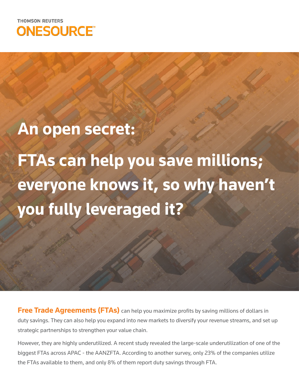

## **An open secret:**

**FTAs can help you save millions; everyone knows it, so why haven't you fully leveraged it?**

**Free Trade Agreements (FTAs)** can help you maximize profits by saving millions of dollars in duty savings. They can also help you expand into new markets to diversify your revenue streams, and set up strategic partnerships to strengthen your value chain.

However, they are highly underutilized. A recent study revealed the large-scale underutilization of one of the biggest FTAs across APAC - the AANZFTA. According to another survey, only 23% of the companies utilize the FTAs available to them, and only 8% of them report duty savings through FTA.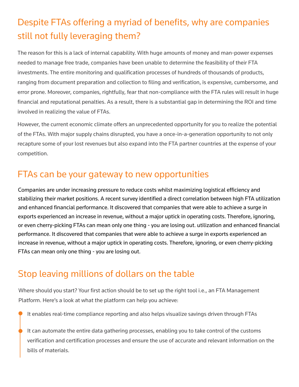### Despite FTAs offering a myriad of benefits, why are companies still not fully leveraging them?

The reason for this is a lack of internal capability. With huge amounts of money and man-power expenses needed to manage free trade, companies have been unable to determine the feasibility of their FTA investments. The entire monitoring and qualification processes of hundreds of thousands of products, ranging from document preparation and collection to filing and verification, is expensive, cumbersome, and error prone. Moreover, companies, rightfully, fear that non-compliance with the FTA rules will result in huge financial and reputational penalties. As a result, there is a substantial gap in determining the ROI and time involved in realizing the value of FTAs.

However, the current economic climate offers an unprecedented opportunity for you to realize the potential of the FTAs. With major supply chains disrupted, you have a once-in-a-generation opportunity to not only recapture some of your lost revenues but also expand into the FTA partner countries at the expense of your competition.

#### FTAs can be your gateway to new opportunities

Companies are under increasing pressure to reduce costs whilst maximizing logistical efficiency and stabilizing their market positions. A recent survey identified a direct correlation between high FTA utilization and enhanced financial performance. It discovered that companies that were able to achieve a surge in exports experienced an increase in revenue, without a major uptick in operating costs. Therefore, ignoring, or even cherry-picking FTAs can mean only one thing - you are losing out. utilization and enhanced financial performance. It discovered that companies that were able to achieve a surge in exports experienced an increase in revenue, without a major uptick in operating costs. Therefore, ignoring, or even cherry-picking FTAs can mean only one thing - you are losing out.

#### Stop leaving millions of dollars on the table

Where should you start? Your first action should be to set up the right tool i.e., an FTA Management Platform. Here's a look at what the platform can help you achieve:

It enables real-time compliance reporting and also helps visualize savings driven through FTAs

It can automate the entire data gathering processes, enabling you to take control of the customs verification and certification processes and ensure the use of accurate and relevant information on the bills of materials.